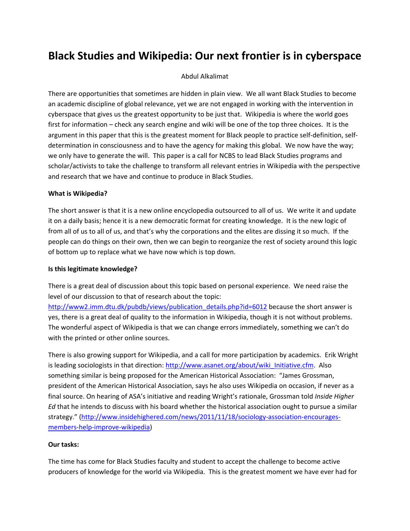# **Black Studies and Wikipedia: Our next frontier is in cyberspace**

## Abdul Alkalimat

There are opportunities that sometimes are hidden in plain view. We all want Black Studies to become an academic discipline of global relevance, yet we are not engaged in working with the intervention in cyberspace that gives us the greatest opportunity to be just that. Wikipedia is where the world goes first for information – check any search engine and wiki will be one of the top three choices. It is the argument in this paper that this is the greatest moment for Black people to practice self‐definition, self‐ determination in consciousness and to have the agency for making this global. We now have the way; we only have to generate the will. This paper is a call for NCBS to lead Black Studies programs and scholar/activists to take the challenge to transform all relevant entries in Wikipedia with the perspective and research that we have and continue to produce in Black Studies.

#### **What is Wikipedia?**

The short answer is that it is a new online encyclopedia outsourced to all of us. We write it and update it on a daily basis; hence it is a new democratic format for creating knowledge. It is the new logic of from all of us to all of us, and that's why the corporations and the elites are dissing it so much. If the people can do things on their own, then we can begin to reorganize the rest of society around this logic of bottom up to replace what we have now which is top down.

## **Is this legitimate knowledge?**

There is a great deal of discussion about this topic based on personal experience. We need raise the level of our discussion to that of research about the topic:

http://www2.imm.dtu.dk/pubdb/views/publication\_details.php?id=6012 because the short answer is yes, there is a great deal of quality to the information in Wikipedia, though it is not without problems. The wonderful aspect of Wikipedia is that we can change errors immediately, something we can't do with the printed or other online sources.

There is also growing support for Wikipedia, and a call for more participation by academics. Erik Wright is leading sociologists in that direction: http://www.asanet.org/about/wiki\_Initiative.cfm. Also something similar is being proposed for the American Historical Association: "James Grossman, president of the American Historical Association, says he also uses Wikipedia on occasion, if never as a final source. On hearing of ASA's initiative and reading Wright's rationale, Grossman told *Inside Higher Ed* that he intends to discuss with his board whether the historical association ought to pursue a similar strategy." (http://www.insidehighered.com/news/2011/11/18/sociology-association-encouragesmembers‐help‐improve‐wikipedia)

# **Our tasks:**

The time has come for Black Studies faculty and student to accept the challenge to become active producers of knowledge for the world via Wikipedia. This is the greatest moment we have ever had for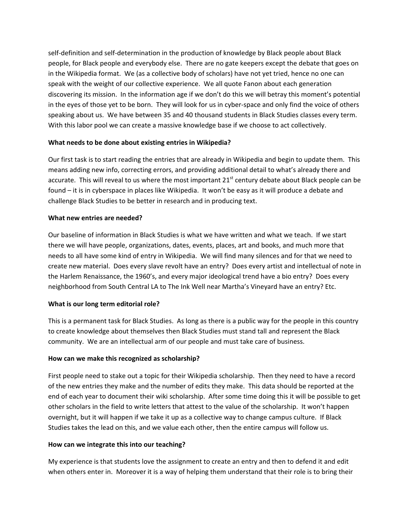self‐definition and self‐determination in the production of knowledge by Black people about Black people, for Black people and everybody else. There are no gate keepers except the debate that goes on in the Wikipedia format. We (as a collective body of scholars) have not yet tried, hence no one can speak with the weight of our collective experience. We all quote Fanon about each generation discovering its mission. In the information age if we don't do this we will betray this moment's potential in the eyes of those yet to be born. They will look for us in cyber-space and only find the voice of others speaking about us. We have between 35 and 40 thousand students in Black Studies classes every term. With this labor pool we can create a massive knowledge base if we choose to act collectively.

# **What needs to be done about existing entries in Wikipedia?**

Our first task is to start reading the entries that are already in Wikipedia and begin to update them. This means adding new info, correcting errors, and providing additional detail to what's already there and accurate. This will reveal to us where the most important  $21<sup>st</sup>$  century debate about Black people can be found – it is in cyberspace in places like Wikipedia. It won't be easy as it will produce a debate and challenge Black Studies to be better in research and in producing text.

### **What new entries are needed?**

Our baseline of information in Black Studies is what we have written and what we teach. If we start there we will have people, organizations, dates, events, places, art and books, and much more that needs to all have some kind of entry in Wikipedia. We will find many silences and for that we need to create new material. Does every slave revolt have an entry? Does every artist and intellectual of note in the Harlem Renaissance, the 1960's, and every major ideological trend have a bio entry? Does every neighborhood from South Central LA to The Ink Well near Martha's Vineyard have an entry? Etc.

# **What is our long term editorial role?**

This is a permanent task for Black Studies. As long as there is a public way for the people in this country to create knowledge about themselves then Black Studies must stand tall and represent the Black community. We are an intellectual arm of our people and must take care of business.

#### **How can we make this recognized as scholarship?**

First people need to stake out a topic for their Wikipedia scholarship. Then they need to have a record of the new entries they make and the number of edits they make. This data should be reported at the end of each year to document their wiki scholarship. After some time doing this it will be possible to get other scholars in the field to write letters that attest to the value of the scholarship. It won't happen overnight, but it will happen if we take it up as a collective way to change campus culture. If Black Studies takes the lead on this, and we value each other, then the entire campus will follow us.

#### **How can we integrate this into our teaching?**

My experience is that students love the assignment to create an entry and then to defend it and edit when others enter in. Moreover it is a way of helping them understand that their role is to bring their